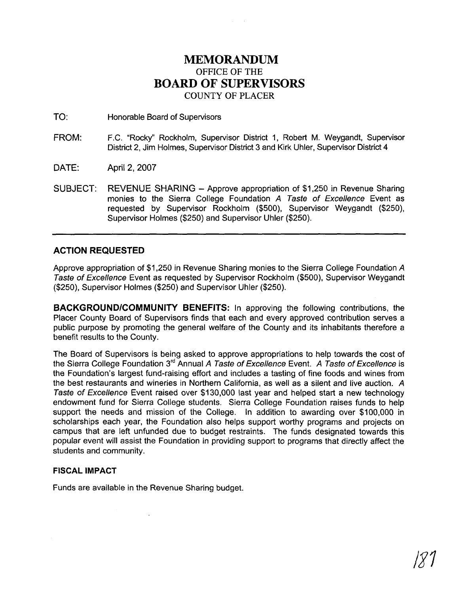# **MEMORANDUM OFFICE OF THE BOARD OF SUPERVISORS COUNTY OF PLACER**

TO: Honorable Board of Supervisors

- FROM: F.C. "Rocky" Rockholm, Supervisor District 1, Robert M. Weygandt, Supervisor District 2, Jim Holmes, Supervisor District 3 and Kirk Uhler, Supervisor District **4**
- DATE: April 2, 2007
- SUBJECT: REVENUE SHARING Approve appropriation of \$1,250 in Revenue Sharing monies to the Sierra College Foundation A Taste of Excellence Event as requested by Supervisor Rockholm (\$500), Supervisor Weygandt (\$250), Supervisor Holmes (\$250) and Supervisor Uhler (\$250).

## **ACTION REQUESTED**

Approve appropriation of \$1,250 in Revenue Sharing monies to the Sierra College Foundation A Taste of Excellence Event as requested by Supervisor Rockholm (\$500), Supervisor Weygandt (\$250), Supervisor Holmes (\$250) and Supervisor Uhler (\$250).

**BACKGROUNDICOMMUNITY BENEFITS:** In approving the following contributions, the Placer County Board of Supervisors finds that each and every approved contribution serves a public purpose by promoting the general welfare of the County and its inhabitants therefore a benefit results to the County.

The Board of Supervisors is being asked to approve appropriations to help towards the cost of the Sierra College Foundation 3<sup>rd</sup> Annual A Taste of Excellence Event. A Taste of Excellence is the Foundation's largest fund-raising effort and includes a tasting of fine foods and wines from the best restaurants and wineries in Northern California, as well as a silent and live auction. A Taste of Excellence Event raised over \$130,000 last year and helped start a new technology endowment fund for Sierra College students. Sierra College Foundation raises funds to help support the needs and mission of the College. In addition to awarding over \$100,000 in scholarships each year, the Foundation also helps support worthy programs and projects on campus that are left unfunded due to budget restraints. The funds designated towards this popular event will assist the Foundation in providing support to programs that directly affect the students and community.

### **FISCAL IMPACT**

Funds are available in the Revenue Sharing budget.